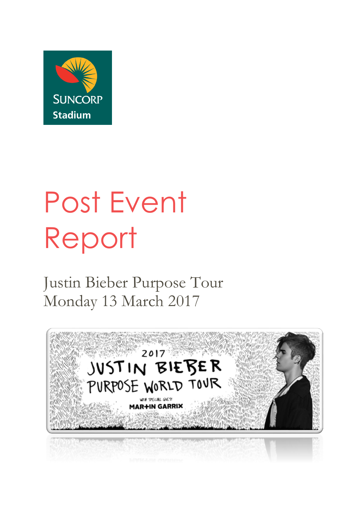

# Post Event Report

Justin Bieber Purpose Tour Monday 13 March 2017

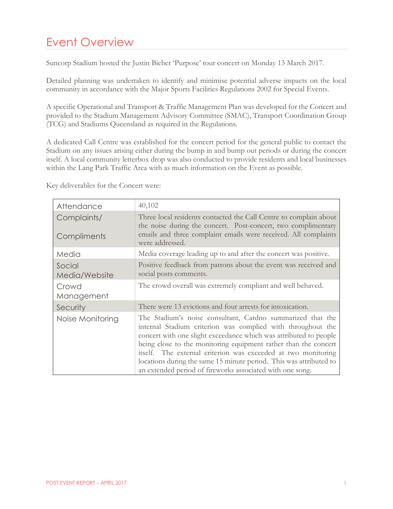# Event Overview

Suncorp Stadium hosted the Justin Bieber 'Purpose' tour concert on Monday 13 March 2017.

Detailed planning was undertaken to identify and minimise potential adverse impacts on the local community in accordance with the Major Sports Facilities Regulations 2002 for Special Events.

A specific Operational and Transport & Traffic Management Plan was developed for the Concert and provided to the Stadium Management Advisory Committee (SMAC), Transport Coordination Group (TCG) and Stadiums Queensland as required in the Regulations.

A dedicated Call Centre was established for the concert period for the general public to contact the Stadium on any issues arising either during the bump in and bump out periods or during the concert itself. A local community letterbox drop was also conducted to provide residents and local businesses within the Lang Park Traffic Area with as much information on the Event as possible.

| Attendance                 | 40,102                                                                                                                                                                                                                                                                                                                                                                                                                                                                |
|----------------------------|-----------------------------------------------------------------------------------------------------------------------------------------------------------------------------------------------------------------------------------------------------------------------------------------------------------------------------------------------------------------------------------------------------------------------------------------------------------------------|
| Complaints/<br>Compliments | Three local residents contacted the Call Centre to complain about<br>the noise during the concert. Post-concert, two complimentary<br>emails and three complaint emails were received. All complaints<br>were addressed.                                                                                                                                                                                                                                              |
| Media                      | Media coverage leading up to and after the concert was positive.                                                                                                                                                                                                                                                                                                                                                                                                      |
| Social<br>Media/Website    | Positive feedback from patrons about the event was received and<br>social posts comments.                                                                                                                                                                                                                                                                                                                                                                             |
| Crowd<br>Management        | The crowd overall was extremely compliant and well behaved.                                                                                                                                                                                                                                                                                                                                                                                                           |
| Security                   | There were 13 evictions and four arrests for intoxication.                                                                                                                                                                                                                                                                                                                                                                                                            |
| Noise Monitoring           | The Stadium's noise consultant, Cardno summarized that the<br>internal Stadium criterion was complied with throughout the<br>concert with one slight exceedance which was attributed to people<br>being close to the monitoring equipment rather than the concert<br>itself. The external criterion was exceeded at two monitoring<br>locations during the same 15 minute period. This was attributed to<br>an extended period of fireworks associated with one song. |

Key deliverables for the Concert were: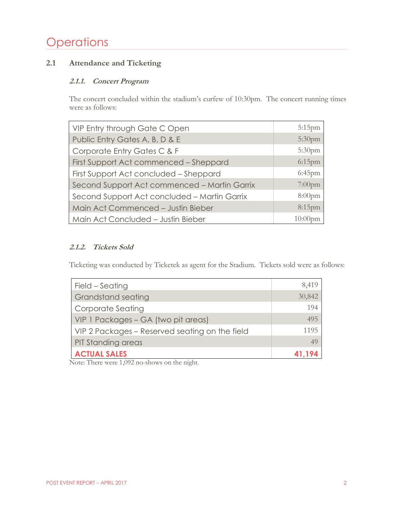# **Operations**

# **2.1 Attendance and Ticketing**

#### **2.1.1. Concert Program**

The concert concluded within the stadium's curfew of 10:30pm. The concert running times were as follows:

| VIP Entry through Gate C Open                | $5:15$ pm          |
|----------------------------------------------|--------------------|
| Public Entry Gates A, B, D & E               | 5:30 <sub>pm</sub> |
| Corporate Entry Gates C & F                  | 5:30 <sub>pm</sub> |
|                                              | $6:15$ pm          |
| First Support Act commenced - Sheppard       |                    |
| First Support Act concluded - Sheppard       | $6:45$ pm          |
| Second Support Act commenced - Martin Garrix | $7:00$ pm          |
| Second Support Act concluded - Martin Garrix | $8:00$ pm          |
| Main Act Commenced - Justin Bieber           | $8:15$ pm          |
| Main Act Concluded - Justin Bieber           | $10:00$ pm         |

## **2.1.2. Tickets Sold**

Ticketing was conducted by Ticketek as agent for the Stadium. Tickets sold were as follows:

| Field - Seating                                | 8,419  |
|------------------------------------------------|--------|
| <b>Grandstand seating</b>                      | 30,842 |
| Corporate Seating                              | 194    |
| VIP 1 Packages - GA (two pit areas)            | 495    |
| VIP 2 Packages – Reserved seating on the field | 1195   |
| <b>PIT Standing areas</b>                      | 49     |
| <b>ACTUAL SALES</b>                            | 41,194 |

Note: There were 1,092 no-shows on the night.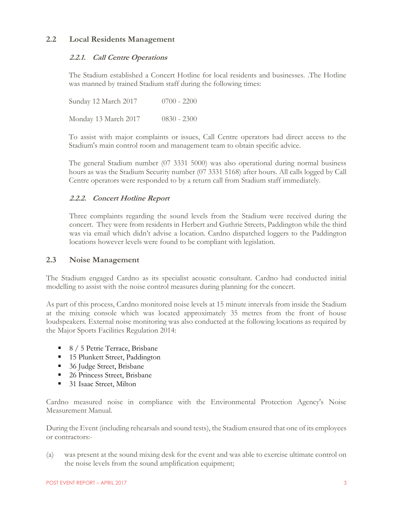#### **2.2 Local Residents Management**

#### **2.2.1. Call Centre Operations**

The Stadium established a Concert Hotline for local residents and businesses. .The Hotline was manned by trained Stadium staff during the following times:

Sunday 12 March 2017 0700 - 2200 Monday 13 March 2017 0830 - 2300

To assist with major complaints or issues, Call Centre operators had direct access to the Stadium's main control room and management team to obtain specific advice.

The general Stadium number (07 3331 5000) was also operational during normal business hours as was the Stadium Security number (07 3331 5168) after hours. All calls logged by Call Centre operators were responded to by a return call from Stadium staff immediately.

#### **2.2.2. Concert Hotline Report**

Three complaints regarding the sound levels from the Stadium were received during the concert. They were from residents in Herbert and Guthrie Streets, Paddington while the third was via email which didn't advise a location. Cardno dispatched loggers to the Paddington locations however levels were found to be compliant with legislation.

#### **2.3 Noise Management**

The Stadium engaged Cardno as its specialist acoustic consultant. Cardno had conducted initial modelling to assist with the noise control measures during planning for the concert.

As part of this process, Cardno monitored noise levels at 15 minute intervals from inside the Stadium at the mixing console which was located approximately 35 metres from the front of house loudspeakers. External noise monitoring was also conducted at the following locations as required by the Major Sports Facilities Regulation 2014:

- 8 / 5 Petrie Terrace, Brisbane
- 15 Plunkett Street, Paddington
- 36 Judge Street, Brisbane
- 26 Princess Street, Brisbane
- 31 Isaac Street, Milton

Cardno measured noise in compliance with the Environmental Protection Agency's Noise Measurement Manual.

During the Event (including rehearsals and sound tests), the Stadium ensured that one of its employees or contractors:-

(a) was present at the sound mixing desk for the event and was able to exercise ultimate control on the noise levels from the sound amplification equipment;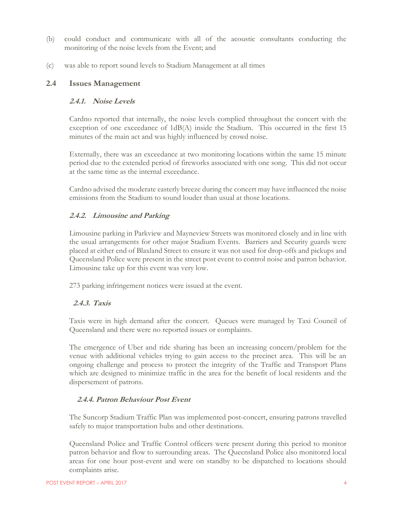- (b) could conduct and communicate with all of the acoustic consultants conducting the monitoring of the noise levels from the Event; and
- (c) was able to report sound levels to Stadium Management at all times

#### **2.4 Issues Management**

#### **2.4.1. Noise Levels**

Cardno reported that internally, the noise levels complied throughout the concert with the exception of one exceedance of 1dB(A) inside the Stadium. This occurred in the first 15 minutes of the main act and was highly influenced by crowd noise.

Externally, there was an exceedance at two monitoring locations within the same 15 minute period due to the extended period of fireworks associated with one song. This did not occur at the same time as the internal exceedance.

Cardno advised the moderate easterly breeze during the concert may have influenced the noise emissions from the Stadium to sound louder than usual at those locations.

#### **2.4.2. Limousine and Parking**

Limousine parking in Parkview and Mayneview Streets was monitored closely and in line with the usual arrangements for other major Stadium Events. Barriers and Security guards were placed at either end of Blaxland Street to ensure it was not used for drop-offs and pickups and Queensland Police were present in the street post event to control noise and patron behavior. Limousine take up for this event was very low.

273 parking infringement notices were issued at the event.

#### **2.4.3. Taxis**

Taxis were in high demand after the concert. Queues were managed by Taxi Council of Queensland and there were no reported issues or complaints.

The emergence of Uber and ride sharing has been an increasing concern/problem for the venue with additional vehicles trying to gain access to the precinct area. This will be an ongoing challenge and process to protect the integrity of the Traffic and Transport Plans which are designed to minimize traffic in the area for the benefit of local residents and the dispersement of patrons.

#### **2.4.4. Patron Behaviour Post Event**

The Suncorp Stadium Traffic Plan was implemented post-concert, ensuring patrons travelled safely to major transportation hubs and other destinations.

Queensland Police and Traffic Control officers were present during this period to monitor patron behavior and flow to surrounding areas. The Queensland Police also monitored local areas for one hour post-event and were on standby to be dispatched to locations should complaints arise.